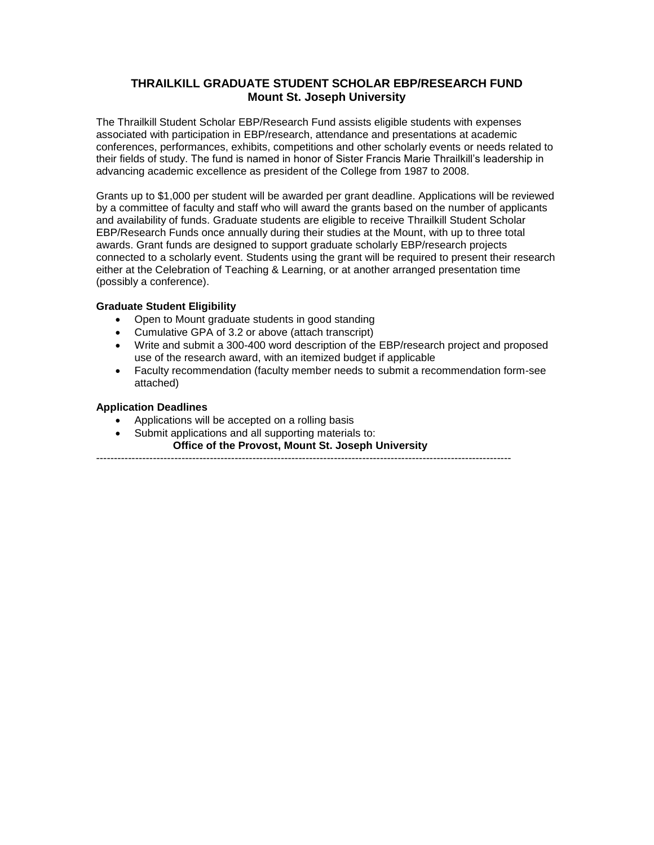### **THRAILKILL GRADUATE STUDENT SCHOLAR EBP/RESEARCH FUND Mount St. Joseph University**

The Thrailkill Student Scholar EBP/Research Fund assists eligible students with expenses associated with participation in EBP/research, attendance and presentations at academic conferences, performances, exhibits, competitions and other scholarly events or needs related to their fields of study. The fund is named in honor of Sister Francis Marie Thrailkill's leadership in advancing academic excellence as president of the College from 1987 to 2008.

Grants up to \$1,000 per student will be awarded per grant deadline. Applications will be reviewed by a committee of faculty and staff who will award the grants based on the number of applicants and availability of funds. Graduate students are eligible to receive Thrailkill Student Scholar EBP/Research Funds once annually during their studies at the Mount, with up to three total awards. Grant funds are designed to support graduate scholarly EBP/research projects connected to a scholarly event. Students using the grant will be required to present their research either at the Celebration of Teaching & Learning, or at another arranged presentation time (possibly a conference).

#### **Graduate Student Eligibility**

- Open to Mount graduate students in good standing
- Cumulative GPA of 3.2 or above (attach transcript)
- Write and submit a 300-400 word description of the EBP/research project and proposed use of the research award, with an itemized budget if applicable
- Faculty recommendation (faculty member needs to submit a recommendation form-see attached)

#### **Application Deadlines**

- Applications will be accepted on a rolling basis
- Submit applications and all supporting materials to:
	- **Office of the Provost, Mount St. Joseph University**

---------------------------------------------------------------------------------------------------------------------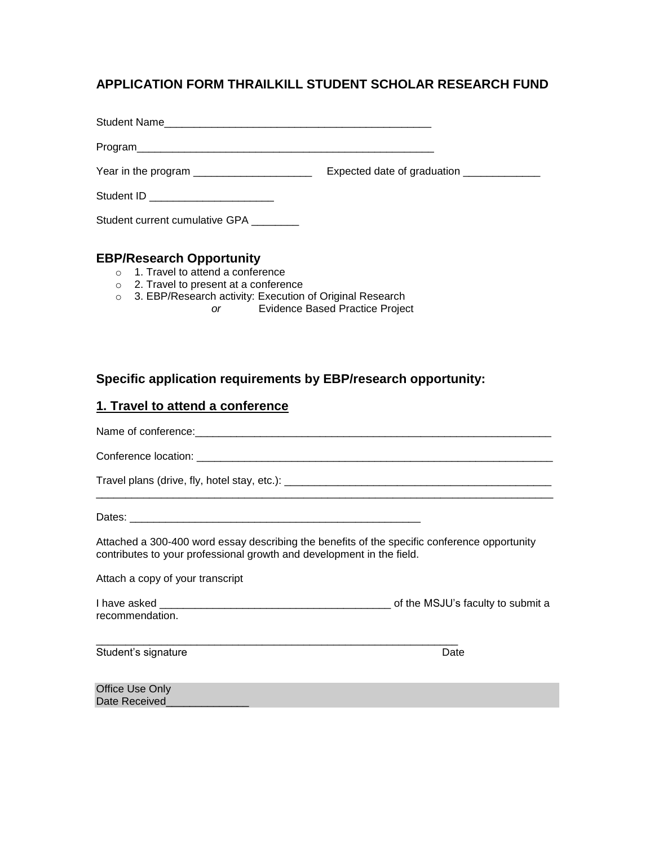# **APPLICATION FORM THRAILKILL STUDENT SCHOLAR RESEARCH FUND**

| Student Name                                                                                                               |                                             |
|----------------------------------------------------------------------------------------------------------------------------|---------------------------------------------|
|                                                                                                                            |                                             |
|                                                                                                                            | Expected date of graduation _______________ |
| Student ID __________________________                                                                                      |                                             |
| Student current cumulative GPA ________                                                                                    |                                             |
| <b>EBP/Research Opportunity</b><br>$\circ$ 1. Travel to attend a conference<br>$\circ$ 2 Travel to present at a conference |                                             |

- **z.** Travel to present at a conference
- o 3. EBP/Research activity: Execution of Original Research
	- *or* Evidence Based Practice Project

### **Specific application requirements by EBP/research opportunity:**

#### **1. Travel to attend a conference**

Name of conference:\_\_\_\_\_\_\_\_\_\_\_\_\_\_\_\_\_\_\_\_\_\_\_\_\_\_\_\_\_\_\_\_\_\_\_\_\_\_\_\_\_\_\_\_\_\_\_\_\_\_\_\_\_\_\_\_\_\_\_\_

Conference location: **Example 20** and  $\overline{a}$  and  $\overline{b}$  and  $\overline{c}$  and  $\overline{d}$  and  $\overline{c}$  and  $\overline{c}$  and  $\overline{c}$  and  $\overline{c}$  and  $\overline{c}$  and  $\overline{c}$  and  $\overline{c}$  and  $\overline{c}$  and  $\overline{c}$  and  $\overline{c}$  and  $\$ 

Travel plans (drive, fly, hotel stay, etc.): \_\_\_\_\_\_\_\_\_\_\_\_\_\_\_\_\_\_\_\_\_\_\_\_\_\_\_\_\_\_\_\_\_\_\_\_\_\_\_\_\_\_\_\_\_

Dates: \_\_\_\_\_\_\_\_\_\_\_\_\_\_\_\_\_\_\_\_\_\_\_\_\_\_\_\_\_\_\_\_\_\_\_\_\_\_\_\_\_\_\_\_\_\_\_\_\_

Attached a 300-400 word essay describing the benefits of the specific conference opportunity contributes to your professional growth and development in the field.

\_\_\_\_\_\_\_\_\_\_\_\_\_\_\_\_\_\_\_\_\_\_\_\_\_\_\_\_\_\_\_\_\_\_\_\_\_\_\_\_\_\_\_\_\_\_\_\_\_\_\_\_\_\_\_\_\_\_\_\_\_\_\_\_\_\_\_\_\_\_\_\_\_\_\_\_\_

Attach a copy of your transcript

| I have asked    | of the MSJU's faculty to submit a |  |  |
|-----------------|-----------------------------------|--|--|
| recommendation. |                                   |  |  |

\_\_\_\_\_\_\_\_\_\_\_\_\_\_\_\_\_\_\_\_\_\_\_\_\_\_\_\_\_\_\_\_\_\_\_\_\_\_\_\_\_\_\_\_\_\_\_\_\_\_\_\_\_\_\_\_\_\_\_\_\_

Student's signature Date Date Contract and Date Date Date

Office Use Only Date Received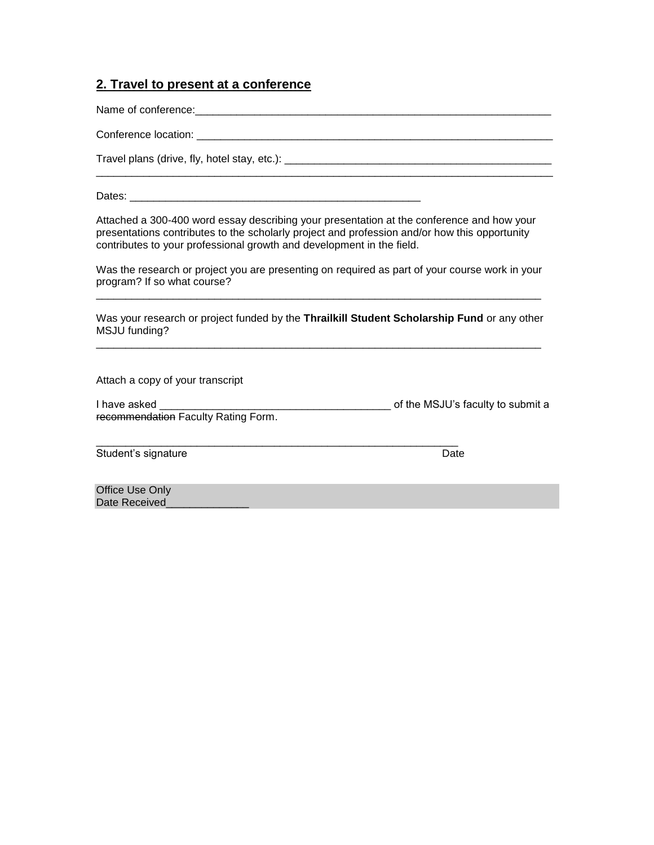### **2. Travel to present at a conference**

Name of conference:\_\_\_\_\_\_\_\_\_\_\_\_\_\_\_\_\_\_\_\_\_\_\_\_\_\_\_\_\_\_\_\_\_\_\_\_\_\_\_\_\_\_\_\_\_\_\_\_\_\_\_\_\_\_\_\_\_\_\_\_

Conference location: \_\_\_\_\_\_\_\_\_\_\_\_\_\_\_\_\_\_\_\_\_\_\_\_\_\_\_\_\_\_\_\_\_\_\_\_\_\_\_\_\_\_\_\_\_\_\_\_\_\_\_\_\_\_\_\_\_\_\_\_

Travel plans (drive, fly, hotel stay, etc.): \_\_\_\_\_\_\_\_\_\_\_\_\_\_\_\_\_\_\_\_\_\_\_\_\_\_\_\_\_\_\_\_\_\_\_\_\_\_\_\_\_\_\_\_\_

Dates: **Dates: Example 20** 

Attached a 300-400 word essay describing your presentation at the conference and how your presentations contributes to the scholarly project and profession and/or how this opportunity contributes to your professional growth and development in the field.

Was the research or project you are presenting on required as part of your course work in your program? If so what course? \_\_\_\_\_\_\_\_\_\_\_\_\_\_\_\_\_\_\_\_\_\_\_\_\_\_\_\_\_\_\_\_\_\_\_\_\_\_\_\_\_\_\_\_\_\_\_\_\_\_\_\_\_\_\_\_\_\_\_\_\_\_\_\_\_\_\_\_\_\_\_\_\_\_\_

Was your research or project funded by the **Thrailkill Student Scholarship Fund** or any other MSJU funding? \_\_\_\_\_\_\_\_\_\_\_\_\_\_\_\_\_\_\_\_\_\_\_\_\_\_\_\_\_\_\_\_\_\_\_\_\_\_\_\_\_\_\_\_\_\_\_\_\_\_\_\_\_\_\_\_\_\_\_\_\_\_\_\_\_\_\_\_\_\_\_\_\_\_\_

Attach a copy of your transcript

I have asked  $\frac{1}{1}$  are  $\frac{1}{1}$  are  $\frac{1}{1}$  are  $\frac{1}{1}$  are  $\frac{1}{1}$  are  $\frac{1}{1}$  are  $\frac{1}{1}$  of the MSJU's faculty to submit a recommendation Faculty Rating Form.

\_\_\_\_\_\_\_\_\_\_\_\_\_\_\_\_\_\_\_\_\_\_\_\_\_\_\_\_\_\_\_\_\_\_\_\_\_\_\_\_\_\_\_\_\_\_\_\_\_\_\_\_\_\_\_\_\_\_\_\_\_

Student's signature Date

Office Use Only Date Received